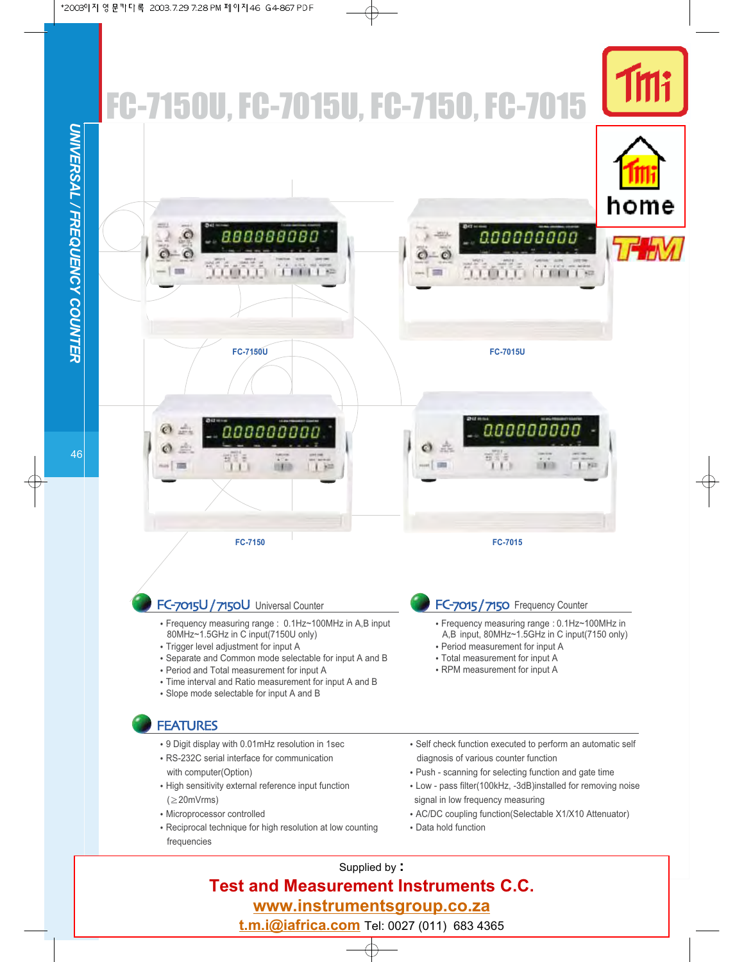

Supplied by **: Test and Measurement Instruments C.C. www.instrumentsgroup.co.za** 

**t.m.i@iafrica.com** Tel: 0027 (011) 683 4365